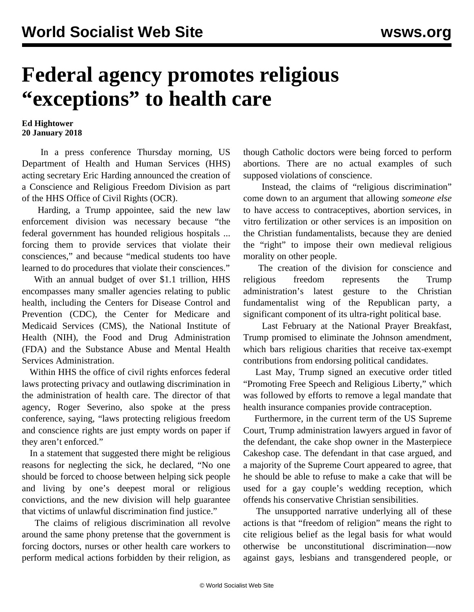## **Federal agency promotes religious "exceptions" to health care**

## **Ed Hightower 20 January 2018**

 In a press conference Thursday morning, US Department of Health and Human Services (HHS) acting secretary Eric Harding announced the creation of a Conscience and Religious Freedom Division as part of the HHS Office of Civil Rights (OCR).

 Harding, a Trump appointee, said the new law enforcement division was necessary because "the federal government has hounded religious hospitals ... forcing them to provide services that violate their consciences," and because "medical students too have learned to do procedures that violate their consciences."

 With an annual budget of over \$1.1 trillion, HHS encompasses many smaller agencies relating to public health, including the Centers for Disease Control and Prevention (CDC), the Center for Medicare and Medicaid Services (CMS), the National Institute of Health (NIH), the Food and Drug Administration (FDA) and the Substance Abuse and Mental Health Services Administration.

 Within HHS the office of civil rights enforces federal laws protecting privacy and outlawing discrimination in the administration of health care. The director of that agency, Roger Severino, also spoke at the press conference, saying, "laws protecting religious freedom and conscience rights are just empty words on paper if they aren't enforced."

 In a statement that suggested there might be religious reasons for neglecting the sick, he declared, "No one should be forced to choose between helping sick people and living by one's deepest moral or religious convictions, and the new division will help guarantee that victims of unlawful discrimination find justice."

 The claims of religious discrimination all revolve around the same phony pretense that the government is forcing doctors, nurses or other health care workers to perform medical actions forbidden by their religion, as

though Catholic doctors were being forced to perform abortions. There are no actual examples of such supposed violations of conscience.

 Instead, the claims of "religious discrimination" come down to an argument that allowing *someone else* to have access to contraceptives, abortion services, in vitro fertilization or other services is an imposition on the Christian fundamentalists, because they are denied the "right" to impose their own medieval religious morality on other people.

 The creation of the division for conscience and religious freedom represents the Trump administration's latest gesture to the Christian fundamentalist wing of the Republican party, a significant component of its ultra-right political base.

 Last February at the National Prayer Breakfast, Trump promised to eliminate the [Johnson amendment,](/en/articles/2017/02/08/chur-f08.html) which bars religious charities that receive tax-exempt contributions from endorsing political candidates.

 Last May, Trump signed an executive order titled "Promoting Free Speech and Religious Liberty," which was followed by efforts to remove a legal mandate that health insurance companies provide contraception.

 Furthermore, in the current term of the US Supreme Court, Trump administration lawyers argued in favor of the defendant, the cake shop owner in the [Masterpiece](/en/articles/2017/12/07/cake-d07.html) [Cakeshop case](/en/articles/2017/12/07/cake-d07.html). The defendant in that case argued, and a majority of the Supreme Court appeared to agree, that he should be able to refuse to make a cake that will be used for a gay couple's wedding reception, which offends his conservative Christian sensibilities.

 The unsupported narrative underlying all of these actions is that "freedom of religion" means the right to cite religious belief as the legal basis for what would otherwise be unconstitutional discrimination—now against gays, lesbians and transgendered people, or